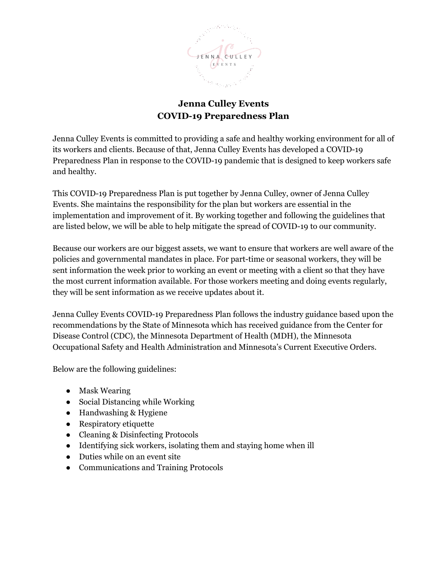

# **Jenna Culley Events COVID-19 Preparedness Plan**

Jenna Culley Events is committed to providing a safe and healthy working environment for all of its workers and clients. Because of that, Jenna Culley Events has developed a COVID-19 Preparedness Plan in response to the COVID-19 pandemic that is designed to keep workers safe and healthy.

This COVID-19 Preparedness Plan is put together by Jenna Culley, owner of Jenna Culley Events. She maintains the responsibility for the plan but workers are essential in the implementation and improvement of it. By working together and following the guidelines that are listed below, we will be able to help mitigate the spread of COVID-19 to our community.

Because our workers are our biggest assets, we want to ensure that workers are well aware of the policies and governmental mandates in place. For part-time or seasonal workers, they will be sent information the week prior to working an event or meeting with a client so that they have the most current information available. For those workers meeting and doing events regularly, they will be sent information as we receive updates about it.

Jenna Culley Events COVID-19 Preparedness Plan follows the industry guidance based upon the recommendations by the State of Minnesota which has received guidance from the Center for Disease Control (CDC), the Minnesota Department of Health (MDH), the Minnesota Occupational Safety and Health Administration and Minnesota's Current Executive Orders.

Below are the following guidelines:

- Mask Wearing
- Social Distancing while Working
- Handwashing & Hygiene
- Respiratory etiquette
- Cleaning & Disinfecting Protocols
- Identifying sick workers, isolating them and staying home when ill
- Duties while on an event site
- Communications and Training Protocols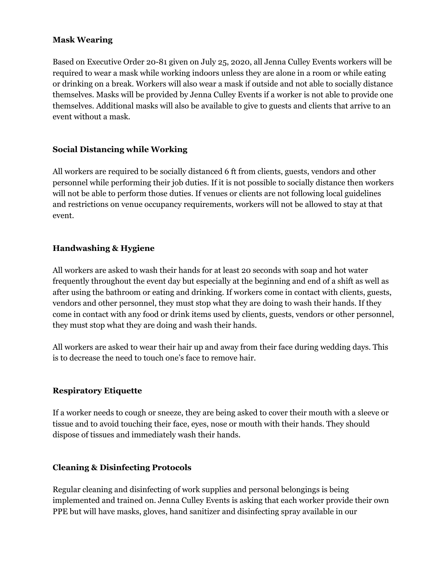## **Mask Wearing**

Based on Executive Order 20-81 given on July 25, 2020, all Jenna Culley Events workers will be required to wear a mask while working indoors unless they are alone in a room or while eating or drinking on a break. Workers will also wear a mask if outside and not able to socially distance themselves. Masks will be provided by Jenna Culley Events if a worker is not able to provide one themselves. Additional masks will also be available to give to guests and clients that arrive to an event without a mask.

## **Social Distancing while Working**

All workers are required to be socially distanced 6 ft from clients, guests, vendors and other personnel while performing their job duties. If it is not possible to socially distance then workers will not be able to perform those duties. If venues or clients are not following local guidelines and restrictions on venue occupancy requirements, workers will not be allowed to stay at that event.

## **Handwashing & Hygiene**

All workers are asked to wash their hands for at least 20 seconds with soap and hot water frequently throughout the event day but especially at the beginning and end of a shift as well as after using the bathroom or eating and drinking. If workers come in contact with clients, guests, vendors and other personnel, they must stop what they are doing to wash their hands. If they come in contact with any food or drink items used by clients, guests, vendors or other personnel, they must stop what they are doing and wash their hands.

All workers are asked to wear their hair up and away from their face during wedding days. This is to decrease the need to touch one's face to remove hair.

### **Respiratory Etiquette**

If a worker needs to cough or sneeze, they are being asked to cover their mouth with a sleeve or tissue and to avoid touching their face, eyes, nose or mouth with their hands. They should dispose of tissues and immediately wash their hands.

### **Cleaning & Disinfecting Protocols**

Regular cleaning and disinfecting of work supplies and personal belongings is being implemented and trained on. Jenna Culley Events is asking that each worker provide their own PPE but will have masks, gloves, hand sanitizer and disinfecting spray available in our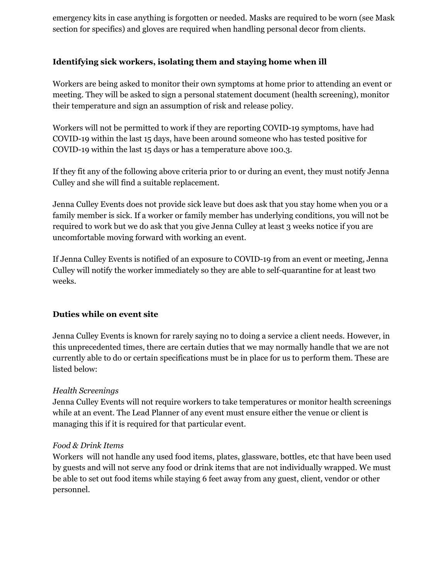emergency kits in case anything is forgotten or needed. Masks are required to be worn (see Mask section for specifics) and gloves are required when handling personal decor from clients.

# **Identifying sick workers, isolating them and staying home when ill**

Workers are being asked to monitor their own symptoms at home prior to attending an event or meeting. They will be asked to sign a personal statement document (health screening), monitor their temperature and sign an assumption of risk and release policy.

Workers will not be permitted to work if they are reporting COVID-19 symptoms, have had COVID-19 within the last 15 days, have been around someone who has tested positive for COVID-19 within the last 15 days or has a temperature above 100.3.

If they fit any of the following above criteria prior to or during an event, they must notify Jenna Culley and she will find a suitable replacement.

Jenna Culley Events does not provide sick leave but does ask that you stay home when you or a family member is sick. If a worker or family member has underlying conditions, you will not be required to work but we do ask that you give Jenna Culley at least 3 weeks notice if you are uncomfortable moving forward with working an event.

If Jenna Culley Events is notified of an exposure to COVID-19 from an event or meeting, Jenna Culley will notify the worker immediately so they are able to self-quarantine for at least two weeks.

# **Duties while on event site**

Jenna Culley Events is known for rarely saying no to doing a service a client needs. However, in this unprecedented times, there are certain duties that we may normally handle that we are not currently able to do or certain specifications must be in place for us to perform them. These are listed below:

### *Health Screenings*

Jenna Culley Events will not require workers to take temperatures or monitor health screenings while at an event. The Lead Planner of any event must ensure either the venue or client is managing this if it is required for that particular event.

### *Food & Drink Items*

Workers will not handle any used food items, plates, glassware, bottles, etc that have been used by guests and will not serve any food or drink items that are not individually wrapped. We must be able to set out food items while staying 6 feet away from any guest, client, vendor or other personnel.